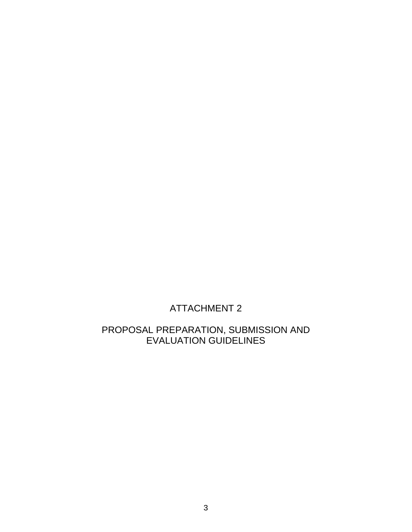# ATTACHMENT 2

## PROPOSAL PREPARATION, SUBMISSION AND EVALUATION GUIDELINES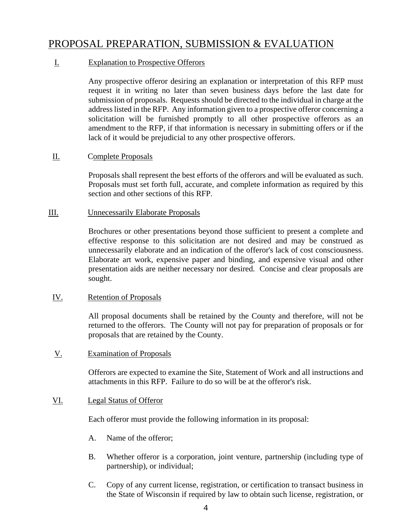## PROPOSAL PREPARATION, SUBMISSION & EVALUATION

## I. Explanation to Prospective Offerors

Any prospective offeror desiring an explanation or interpretation of this RFP must request it in writing no later than seven business days before the last date for submission of proposals. Requests should be directed to the individual in charge at the address listed in the RFP. Any information given to a prospective offeror concerning a solicitation will be furnished promptly to all other prospective offerors as an amendment to the RFP, if that information is necessary in submitting offers or if the lack of it would be prejudicial to any other prospective offerors.

## II. Complete Proposals

Proposals shall represent the best efforts of the offerors and will be evaluated as such. Proposals must set forth full, accurate, and complete information as required by this section and other sections of this RFP.

## III. Unnecessarily Elaborate Proposals

Brochures or other presentations beyond those sufficient to present a complete and effective response to this solicitation are not desired and may be construed as unnecessarily elaborate and an indication of the offeror's lack of cost consciousness. Elaborate art work, expensive paper and binding, and expensive visual and other presentation aids are neither necessary nor desired. Concise and clear proposals are sought.

## IV. Retention of Proposals

All proposal documents shall be retained by the County and therefore, will not be returned to the offerors. The County will not pay for preparation of proposals or for proposals that are retained by the County.

## V. Examination of Proposals

Offerors are expected to examine the Site, Statement of Work and all instructions and attachments in this RFP. Failure to do so will be at the offeror's risk.

## VI. Legal Status of Offeror

Each offeror must provide the following information in its proposal:

- A. Name of the offeror;
- B. Whether offeror is a corporation, joint venture, partnership (including type of partnership), or individual;
- C. Copy of any current license, registration, or certification to transact business in the State of Wisconsin if required by law to obtain such license, registration, or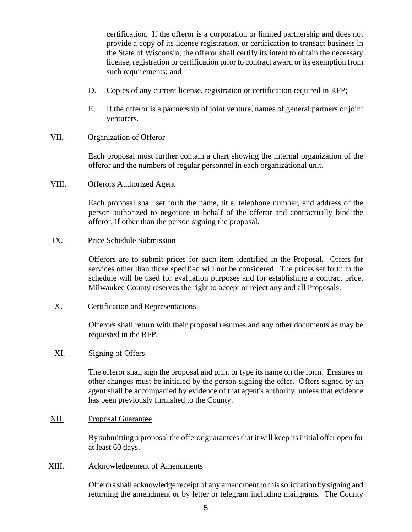certification. If the offeror is a corporation or limited partnership and does not provide a copy of its license registration, or certification to transact business in the State of Wisconsin, the offeror shall certify its intent to obtain the necessary license, registration or certification prior to contract award or its exemption from such requirements; and

- D. Copies of any current license, registration or certification required in RFP;
- E. If the offeror is a partnership of joint venture, names of general partners or joint venturers.

## VII. Organization of Offeror

Each proposal must further contain a chart showing the internal organization of the offeror and the numbers of regular personnel in each organizational unit.

#### VIII. Offerors Authorized Agent

Each proposal shall set forth the name, title, telephone number, and address of the person authorized to negotiate in behalf of the offeror and contractually bind the offeror, if other than the person signing the proposal.

### IX. Price Schedule Submission

Offerors are to submit prices for each item identified in the Proposal. Offers for services other than those specified will not be considered. The prices set forth in the schedule will be used for evaluation purposes and for establishing a contract price. Milwaukee County reserves the right to accept or reject any and all Proposals.

## X. Certification and Representations

Offerors shall return with their proposal resumes and any other documents as may be requested in the RFP.

## XI. Signing of Offers

The offeror shall sign the proposal and print or type its name on the form. Erasures or other changes must be initialed by the person signing the offer. Offers signed by an agent shall be accompanied by evidence of that agent's authority, unless that evidence has been previously furnished to the County.

## XII. Proposal Guarantee

By submitting a proposal the offeror guarantees that it will keep its initial offer open for at least 60 days.

### XIII. Acknowledgement of Amendments

Offerors shall acknowledge receipt of any amendment to this solicitation by signing and returning the amendment or by letter or telegram including mailgrams. The County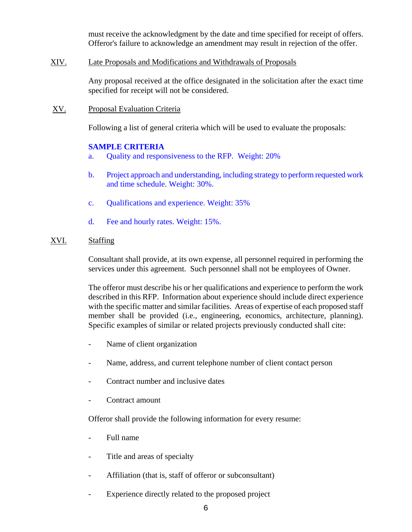must receive the acknowledgment by the date and time specified for receipt of offers. Offeror's failure to acknowledge an amendment may result in rejection of the offer.

## XIV. Late Proposals and Modifications and Withdrawals of Proposals

Any proposal received at the office designated in the solicitation after the exact time specified for receipt will not be considered.

XV. Proposal Evaluation Criteria

Following a list of general criteria which will be used to evaluate the proposals:

#### **SAMPLE CRITERIA**

- a. Quality and responsiveness to the RFP. Weight: 20%
- b. Project approach and understanding, including strategy to perform requested work and time schedule. Weight: 30%.
- c. Qualifications and experience. Weight: 35%
- d. Fee and hourly rates. Weight: 15%.

## XVI. Staffing

Consultant shall provide, at its own expense, all personnel required in performing the services under this agreement. Such personnel shall not be employees of Owner.

The offeror must describe his or her qualifications and experience to perform the work described in this RFP. Information about experience should include direct experience with the specific matter and similar facilities. Areas of expertise of each proposed staff member shall be provided (i.e., engineering, economics, architecture, planning). Specific examples of similar or related projects previously conducted shall cite:

- Name of client organization
- Name, address, and current telephone number of client contact person
- Contract number and inclusive dates
- Contract amount

Offeror shall provide the following information for every resume:

- Full name
- Title and areas of specialty
- Affiliation (that is, staff of offeror or subconsultant)
- Experience directly related to the proposed project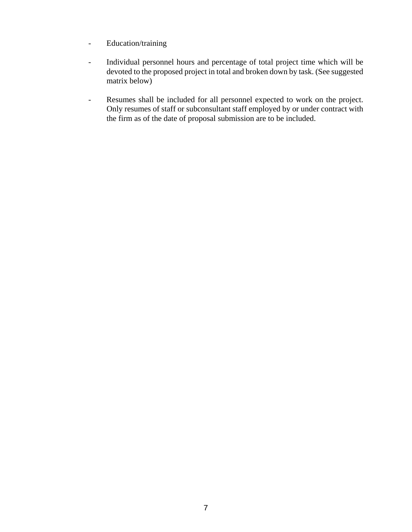- Education/training
- Individual personnel hours and percentage of total project time which will be devoted to the proposed project in total and broken down by task. (See suggested matrix below)
- Resumes shall be included for all personnel expected to work on the project. Only resumes of staff or subconsultant staff employed by or under contract with the firm as of the date of proposal submission are to be included.